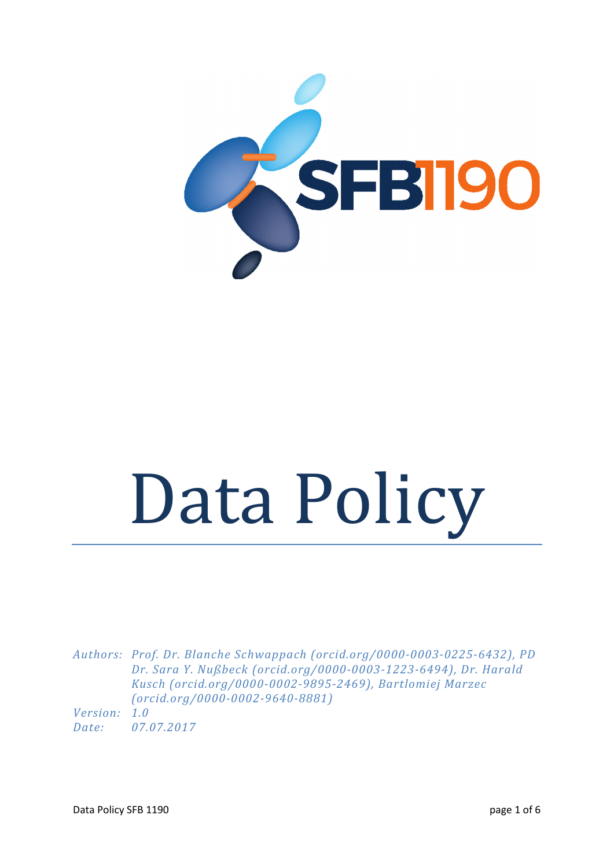

# Data Policy

*Authors: Prof. Dr. Blanche Schwappach (orcid.org/0000-0003-0225-6432), PD Dr. Sara Y. Nußbeck (orcid.org/0000-0003-1223-6494), Dr. Harald Kusch (orcid.org/0000-0002-9895-2469), Bartlomiej Marzec (orcid.org/0000-0002-9640-8881)* 

*Version: 1.0 Date: 07.07.2017*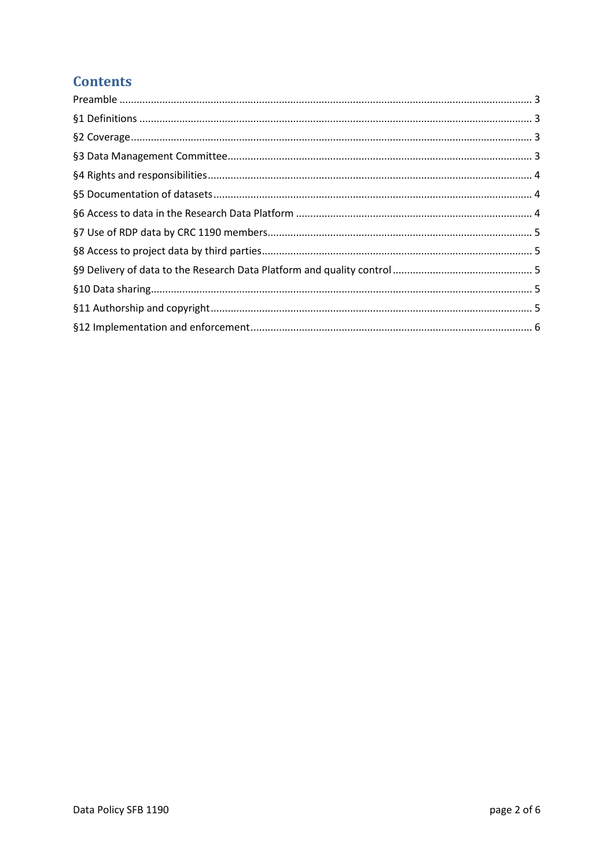# **Contents**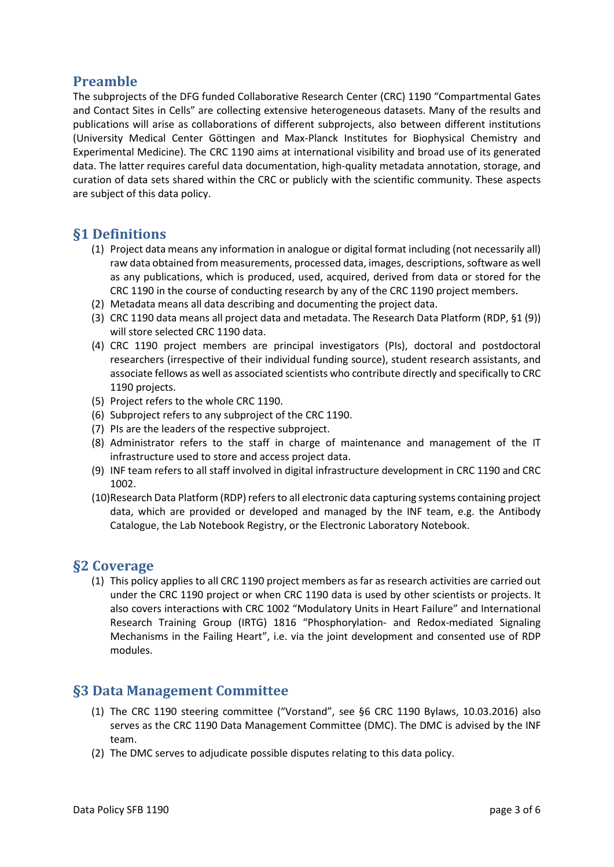# <span id="page-2-0"></span>**Preamble**

The subprojects of the DFG funded Collaborative Research Center (CRC) 1190 "Compartmental Gates and Contact Sites in Cells" are collecting extensive heterogeneous datasets. Many of the results and publications will arise as collaborations of different subprojects, also between different institutions (University Medical Center Göttingen and Max-Planck Institutes for Biophysical Chemistry and Experimental Medicine). The CRC 1190 aims at international visibility and broad use of its generated data. The latter requires careful data documentation, high-quality metadata annotation, storage, and curation of data sets shared within the CRC or publicly with the scientific community. These aspects are subject of this data policy.

# <span id="page-2-1"></span>**§1 Definitions**

- (1) Project data means any information in analogue or digital format including (not necessarily all) raw data obtained from measurements, processed data, images, descriptions, software as well as any publications, which is produced, used, acquired, derived from data or stored for the CRC 1190 in the course of conducting research by any of the CRC 1190 project members.
- (2) Metadata means all data describing and documenting the project data.
- (3) CRC 1190 data means all project data and metadata. The Research Data Platform (RDP, §1 (9)) will store selected CRC 1190 data.
- (4) CRC 1190 project members are principal investigators (PIs), doctoral and postdoctoral researchers (irrespective of their individual funding source), student research assistants, and associate fellows as well as associated scientists who contribute directly and specifically to CRC 1190 projects.
- (5) Project refers to the whole CRC 1190.
- (6) Subproject refers to any subproject of the CRC 1190.
- (7) PIs are the leaders of the respective subproject.
- (8) Administrator refers to the staff in charge of maintenance and management of the IT infrastructure used to store and access project data.
- (9) INF team refers to all staff involved in digital infrastructure development in CRC 1190 and CRC 1002.
- (10)Research Data Platform (RDP) refers to all electronic data capturing systems containing project data, which are provided or developed and managed by the INF team, e.g. the Antibody Catalogue, the Lab Notebook Registry, or the Electronic Laboratory Notebook.

### <span id="page-2-2"></span>**§2 Coverage**

(1) This policy applies to all CRC 1190 project members as far as research activities are carried out under the CRC 1190 project or when CRC 1190 data is used by other scientists or projects. It also covers interactions with CRC 1002 "Modulatory Units in Heart Failure" and International Research Training Group (IRTG) 1816 "Phosphorylation- and Redox-mediated Signaling Mechanisms in the Failing Heart", i.e. via the joint development and consented use of RDP modules.

# <span id="page-2-3"></span>**§3 Data Management Committee**

- (1) The CRC 1190 steering committee ("Vorstand", see §6 CRC 1190 Bylaws, 10.03.2016) also serves as the CRC 1190 Data Management Committee (DMC). The DMC is advised by the INF team.
- (2) The DMC serves to adjudicate possible disputes relating to this data policy.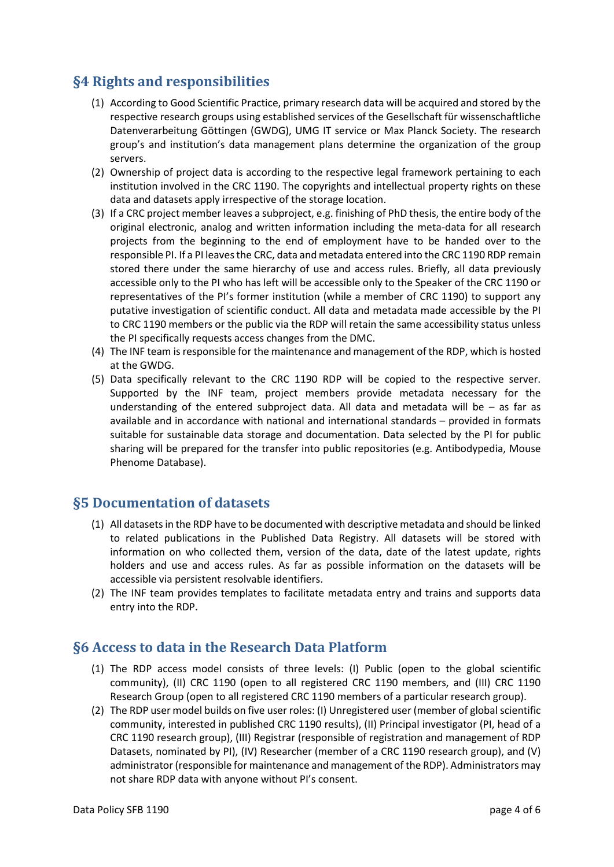# <span id="page-3-0"></span>**§4 Rights and responsibilities**

- (1) According to Good Scientific Practice, primary research data will be acquired and stored by the respective research groups using established services of the Gesellschaft für wissenschaftliche Datenverarbeitung Göttingen (GWDG), UMG IT service or Max Planck Society. The research group's and institution's data management plans determine the organization of the group servers.
- (2) Ownership of project data is according to the respective legal framework pertaining to each institution involved in the CRC 1190. The copyrights and intellectual property rights on these data and datasets apply irrespective of the storage location.
- (3) If a CRC project member leaves a subproject, e.g. finishing of PhD thesis, the entire body of the original electronic, analog and written information including the meta-data for all research projects from the beginning to the end of employment have to be handed over to the responsible PI. If a PI leaves the CRC, data and metadata entered into the CRC 1190 RDP remain stored there under the same hierarchy of use and access rules. Briefly, all data previously accessible only to the PI who has left will be accessible only to the Speaker of the CRC 1190 or representatives of the PI's former institution (while a member of CRC 1190) to support any putative investigation of scientific conduct. All data and metadata made accessible by the PI to CRC 1190 members or the public via the RDP will retain the same accessibility status unless the PI specifically requests access changes from the DMC.
- (4) The INF team is responsible for the maintenance and management of the RDP, which is hosted at the GWDG.
- (5) Data specifically relevant to the CRC 1190 RDP will be copied to the respective server. Supported by the INF team, project members provide metadata necessary for the understanding of the entered subproject data. All data and metadata will be – as far as available and in accordance with national and international standards – provided in formats suitable for sustainable data storage and documentation. Data selected by the PI for public sharing will be prepared for the transfer into public repositories (e.g. Antibodypedia, Mouse Phenome Database).

### <span id="page-3-1"></span>**§5 Documentation of datasets**

- (1) All datasets in the RDP have to be documented with descriptive metadata and should be linked to related publications in the Published Data Registry. All datasets will be stored with information on who collected them, version of the data, date of the latest update, rights holders and use and access rules. As far as possible information on the datasets will be accessible via persistent resolvable identifiers.
- (2) The INF team provides templates to facilitate metadata entry and trains and supports data entry into the RDP.

### <span id="page-3-2"></span>**§6 Access to data in the Research Data Platform**

- (1) The RDP access model consists of three levels: (I) Public (open to the global scientific community), (II) CRC 1190 (open to all registered CRC 1190 members, and (III) CRC 1190 Research Group (open to all registered CRC 1190 members of a particular research group).
- (2) The RDP user model builds on five user roles: (I) Unregistered user (member of global scientific community, interested in published CRC 1190 results), (II) Principal investigator (PI, head of a CRC 1190 research group), (III) Registrar (responsible of registration and management of RDP Datasets, nominated by PI), (IV) Researcher (member of a CRC 1190 research group), and (V) administrator (responsible for maintenance and management of the RDP). Administrators may not share RDP data with anyone without PI's consent.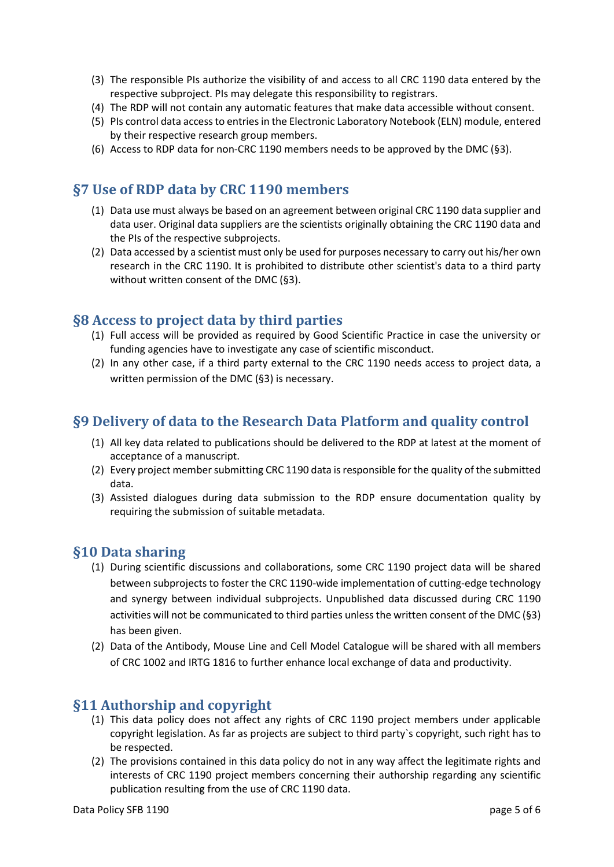- (3) The responsible PIs authorize the visibility of and access to all CRC 1190 data entered by the respective subproject. PIs may delegate this responsibility to registrars.
- (4) The RDP will not contain any automatic features that make data accessible without consent.
- (5) PIs control data access to entries in the Electronic Laboratory Notebook (ELN) module, entered by their respective research group members.
- <span id="page-4-0"></span>(6) Access to RDP data for non-CRC 1190 members needs to be approved by the DMC (§3).

# **§7 Use of RDP data by CRC 1190 members**

- (1) Data use must always be based on an agreement between original CRC 1190 data supplier and data user. Original data suppliers are the scientists originally obtaining the CRC 1190 data and the PIs of the respective subprojects.
- (2) Data accessed by a scientist must only be used for purposes necessary to carry out his/her own research in the CRC 1190. It is prohibited to distribute other scientist's data to a third party without written consent of the DMC (§3).

# <span id="page-4-1"></span>**§8 Access to project data by third parties**

- (1) Full access will be provided as required by Good Scientific Practice in case the university or funding agencies have to investigate any case of scientific misconduct.
- (2) In any other case, if a third party external to the CRC 1190 needs access to project data, a written permission of the DMC (§3) is necessary.

# <span id="page-4-2"></span>**§9 Delivery of data to the Research Data Platform and quality control**

- (1) All key data related to publications should be delivered to the RDP at latest at the moment of acceptance of a manuscript.
- (2) Every project member submitting CRC 1190 data is responsible for the quality of the submitted data.
- (3) Assisted dialogues during data submission to the RDP ensure documentation quality by requiring the submission of suitable metadata.

### <span id="page-4-3"></span>**§10 Data sharing**

- (1) During scientific discussions and collaborations, some CRC 1190 project data will be shared between subprojects to foster the CRC 1190-wide implementation of cutting-edge technology and synergy between individual subprojects. Unpublished data discussed during CRC 1190 activities will not be communicated to third parties unless the written consent of the DMC (§3) has been given.
- (2) Data of the Antibody, Mouse Line and Cell Model Catalogue will be shared with all members of CRC 1002 and IRTG 1816 to further enhance local exchange of data and productivity.

### <span id="page-4-4"></span>**§11 Authorship and copyright**

- (1) This data policy does not affect any rights of CRC 1190 project members under applicable copyright legislation. As far as projects are subject to third party`s copyright, such right has to be respected.
- (2) The provisions contained in this data policy do not in any way affect the legitimate rights and interests of CRC 1190 project members concerning their authorship regarding any scientific publication resulting from the use of CRC 1190 data.